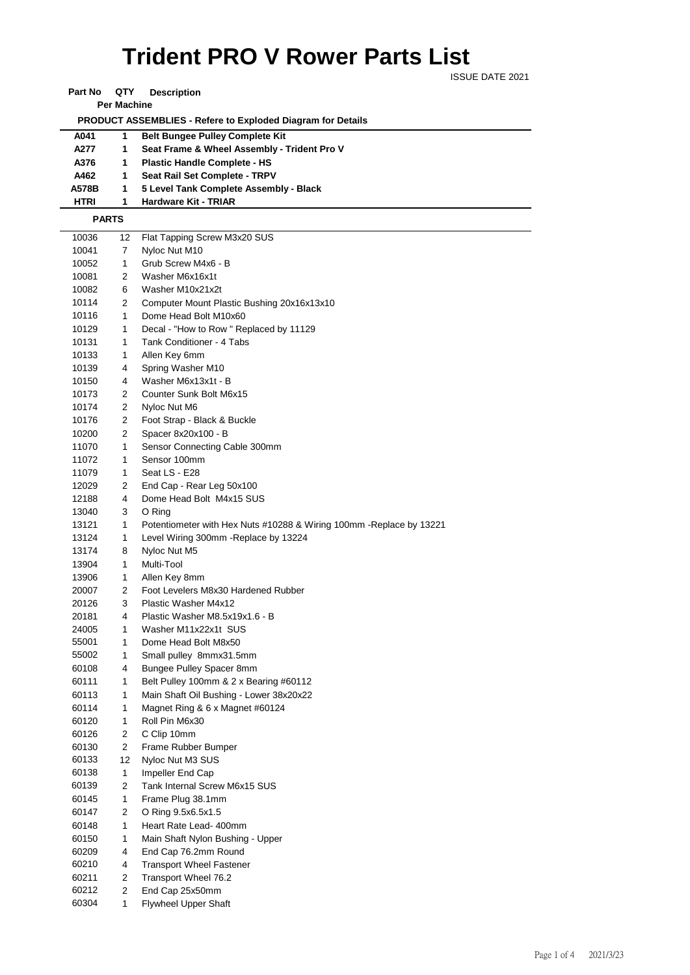## ISSUE DATE 2021 **Trident PRO V Rower Parts List**

**Part No QTY Description** 

**Per Machine**

 **PRODUCT ASSEMBLIES - Refere to Exploded Diagram for Details** 

| A041        | 1. | <b>Belt Bungee Pulley Complete Kit</b>      |
|-------------|----|---------------------------------------------|
| A277        | 1. | Seat Frame & Wheel Assembly - Trident Pro V |
| A376        | 1. | <b>Plastic Handle Complete - HS</b>         |
| A462        | 1. | Seat Rail Set Complete - TRPV               |
| A578B       |    | 5 Level Tank Complete Assembly - Black      |
| <b>HTRI</b> |    | Hardware Kit - TRIAR                        |

**HTRI 1 Hardware Kit - TRIAR PARTS**

| 10036 | 12             | Flat Tapping Screw M3x20 SUS                                         |
|-------|----------------|----------------------------------------------------------------------|
| 10041 | 7              | Nyloc Nut M10                                                        |
| 10052 | 1              | Grub Screw M4x6 - B                                                  |
| 10081 | 2              | Washer M6x16x1t                                                      |
| 10082 | 6              | Washer M10x21x2t                                                     |
| 10114 | 2              | Computer Mount Plastic Bushing 20x16x13x10                           |
| 10116 | 1              | Dome Head Bolt M10x60                                                |
| 10129 | 1              | Decal - "How to Row" Replaced by 11129                               |
| 10131 | 1              | Tank Conditioner - 4 Tabs                                            |
| 10133 | 1              | Allen Key 6mm                                                        |
| 10139 | 4              | Spring Washer M10                                                    |
| 10150 | 4              | Washer M6x13x1t - B                                                  |
| 10173 | 2              | Counter Sunk Bolt M6x15                                              |
| 10174 | $\overline{2}$ | Nyloc Nut M6                                                         |
| 10176 | 2              | Foot Strap - Black & Buckle                                          |
| 10200 | 2              | Spacer 8x20x100 - B                                                  |
| 11070 | 1              | Sensor Connecting Cable 300mm                                        |
| 11072 | 1              | Sensor 100mm                                                         |
| 11079 | 1              | Seat LS - E28                                                        |
| 12029 | 2              | End Cap - Rear Leg 50x100                                            |
| 12188 | 4              | Dome Head Bolt M4x15 SUS                                             |
| 13040 | 3              | O Ring                                                               |
| 13121 | 1              | Potentiometer with Hex Nuts #10288 & Wiring 100mm - Replace by 13221 |
| 13124 | 1              | Level Wiring 300mm - Replace by 13224                                |
| 13174 | 8              | Nyloc Nut M5                                                         |
| 13904 | 1              | Multi-Tool                                                           |
| 13906 | 1              | Allen Key 8mm                                                        |
| 20007 | 2              | Foot Levelers M8x30 Hardened Rubber                                  |
| 20126 | 3              | Plastic Washer M4x12                                                 |
| 20181 | 4              | Plastic Washer M8.5x19x1.6 - B                                       |
| 24005 | 1              | Washer M11x22x1t SUS                                                 |
| 55001 | 1              | Dome Head Bolt M8x50                                                 |
| 55002 | 1              | Small pulley 8mmx31.5mm                                              |
| 60108 | 4              | Bungee Pulley Spacer 8mm                                             |
| 60111 | 1              | Belt Pulley 100mm & 2 x Bearing #60112                               |
| 60113 | 1              | Main Shaft Oil Bushing - Lower 38x20x22                              |
| 60114 | 1              | Magnet Ring & 6 x Magnet #60124                                      |
| 60120 | 1              | Roll Pin M6x30                                                       |
| 60126 | 2              | C Clip 10mm                                                          |
| 60130 | 2              | Frame Rubber Bumper                                                  |
| 60133 | 12             | Nyloc Nut M3 SUS                                                     |
| 60138 | 1              | Impeller End Cap                                                     |
| 60139 | 2              | Tank Internal Screw M6x15 SUS                                        |
| 60145 | 1              | Frame Plug 38.1mm                                                    |
| 60147 | 2              | O Ring 9.5x6.5x1.5                                                   |
| 60148 | 1              | Heart Rate Lead- 400mm                                               |
| 60150 | 1              | Main Shaft Nylon Bushing - Upper                                     |
| 60209 | 4              | End Cap 76.2mm Round                                                 |
| 60210 | 4              | <b>Transport Wheel Fastener</b>                                      |
| 60211 | 2              | Transport Wheel 76.2                                                 |
| 60212 | 2              | End Cap 25x50mm                                                      |
| 60304 | 1              | <b>Flywheel Upper Shaft</b>                                          |
|       |                |                                                                      |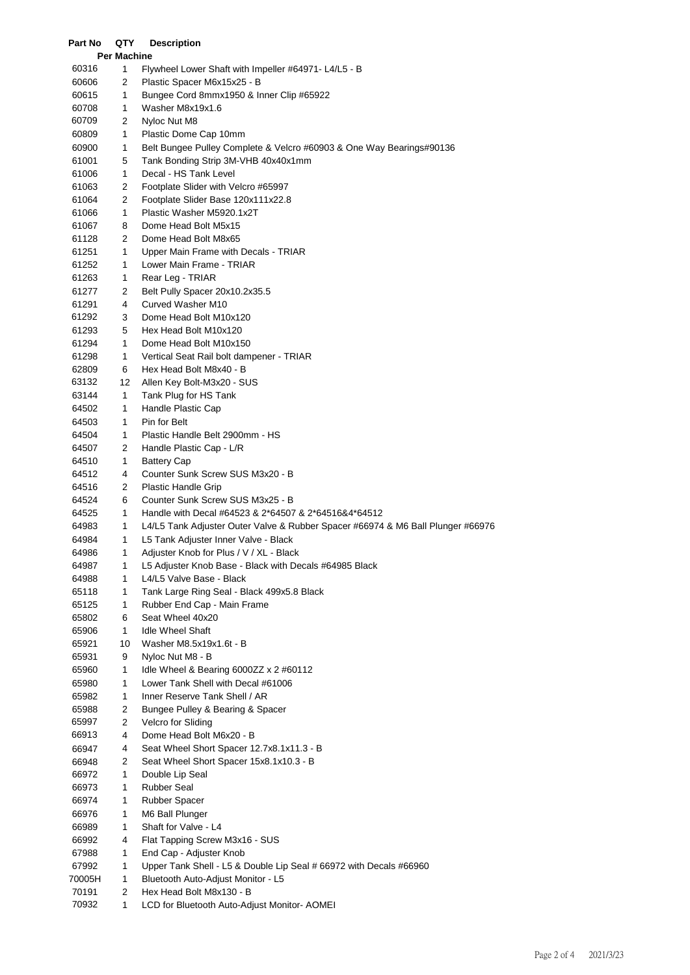| Part No        | QTY                | <b>Description</b>                                                              |
|----------------|--------------------|---------------------------------------------------------------------------------|
|                | <b>Per Machine</b> |                                                                                 |
| 60316          | 1                  | Flywheel Lower Shaft with Impeller #64971- L4/L5 - B                            |
| 60606          | 2                  | Plastic Spacer M6x15x25 - B                                                     |
| 60615          | 1                  | Bungee Cord 8mmx1950 & Inner Clip #65922                                        |
| 60708          | 1                  | Washer M8x19x1.6                                                                |
| 60709          | 2                  | Nyloc Nut M8                                                                    |
| 60809          | 1                  | Plastic Dome Cap 10mm                                                           |
| 60900          | 1                  | Belt Bungee Pulley Complete & Velcro #60903 & One Way Bearings#90136            |
| 61001          | 5                  | Tank Bonding Strip 3M-VHB 40x40x1mm                                             |
| 61006          | 1                  | Decal - HS Tank Level                                                           |
| 61063          | 2                  | Footplate Slider with Velcro #65997                                             |
| 61064          | 2                  | Footplate Slider Base 120x111x22.8                                              |
| 61066          | 1                  | Plastic Washer M5920.1x2T                                                       |
| 61067          | 8                  | Dome Head Bolt M5x15                                                            |
| 61128          | 2                  | Dome Head Bolt M8x65                                                            |
| 61251          | 1<br>1             | Upper Main Frame with Decals - TRIAR<br>Lower Main Frame - TRIAR                |
| 61252<br>61263 | 1                  | Rear Leg - TRIAR                                                                |
| 61277          | 2                  | Belt Pully Spacer 20x10.2x35.5                                                  |
| 61291          | 4                  | Curved Washer M10                                                               |
| 61292          | 3                  | Dome Head Bolt M10x120                                                          |
| 61293          | 5                  | Hex Head Bolt M10x120                                                           |
| 61294          | 1                  | Dome Head Bolt M10x150                                                          |
| 61298          | 1                  | Vertical Seat Rail bolt dampener - TRIAR                                        |
| 62809          | 6                  | Hex Head Bolt M8x40 - B                                                         |
| 63132          | 12                 | Allen Key Bolt-M3x20 - SUS                                                      |
| 63144          | 1                  | Tank Plug for HS Tank                                                           |
| 64502          | 1                  | Handle Plastic Cap                                                              |
| 64503          | 1                  | Pin for Belt                                                                    |
| 64504          | 1                  | Plastic Handle Belt 2900mm - HS                                                 |
| 64507          | 2                  | Handle Plastic Cap - L/R                                                        |
| 64510          | 1                  | <b>Battery Cap</b>                                                              |
| 64512          | 4                  | Counter Sunk Screw SUS M3x20 - B                                                |
| 64516          | 2                  | Plastic Handle Grip                                                             |
| 64524          | 6                  | Counter Sunk Screw SUS M3x25 - B                                                |
| 64525          | 1                  | Handle with Decal #64523 & 2*64507 & 2*64516&4*64512                            |
| 64983          | 1                  | L4/L5 Tank Adjuster Outer Valve & Rubber Spacer #66974 & M6 Ball Plunger #66976 |
| 64984          | 1                  | L5 Tank Adjuster Inner Valve - Black                                            |
| 64986          | 1                  | Adjuster Knob for Plus / V / XL - Black                                         |
| 64987          | 1                  | L5 Adjuster Knob Base - Black with Decals #64985 Black                          |
| 64988          | 1                  | L4/L5 Valve Base - Black                                                        |
| 65118          | 1                  | Tank Large Ring Seal - Black 499x5.8 Black                                      |
| 65125          | 1                  | Rubber End Cap - Main Frame                                                     |
| 65802          | 6                  | Seat Wheel 40x20                                                                |
| 65906          | 1                  | <b>Idle Wheel Shaft</b>                                                         |
| 65921          | 10                 | Washer M8.5x19x1.6t - B                                                         |
| 65931          | 9                  | Nyloc Nut M8 - B                                                                |
| 65960          | 1                  | Idle Wheel & Bearing 6000ZZ x 2 #60112                                          |
| 65980          | 1                  | Lower Tank Shell with Decal #61006                                              |
| 65982          | 1                  | Inner Reserve Tank Shell / AR                                                   |
| 65988          | 2                  | Bungee Pulley & Bearing & Spacer                                                |
| 65997          | 2                  | Velcro for Sliding                                                              |
| 66913          | 4                  | Dome Head Bolt M6x20 - B                                                        |
| 66947          | 4                  | Seat Wheel Short Spacer 12.7x8.1x11.3 - B                                       |
| 66948<br>66972 | 2<br>1             | Seat Wheel Short Spacer 15x8.1x10.3 - B<br>Double Lip Seal                      |
| 66973          | 1                  | <b>Rubber Seal</b>                                                              |
| 66974          | 1                  | <b>Rubber Spacer</b>                                                            |
| 66976          | 1                  | M6 Ball Plunger                                                                 |
| 66989          | 1                  | Shaft for Valve - L4                                                            |
| 66992          | 4                  | Flat Tapping Screw M3x16 - SUS                                                  |
| 67988          | 1                  | End Cap - Adjuster Knob                                                         |
| 67992          | 1                  | Upper Tank Shell - L5 & Double Lip Seal # 66972 with Decals #66960              |
| 70005H         | 1                  | Bluetooth Auto-Adjust Monitor - L5                                              |
| 70191          | 2                  | Hex Head Bolt M8x130 - B                                                        |
| 70932          | 1                  | LCD for Bluetooth Auto-Adjust Monitor- AOMEI                                    |
|                |                    |                                                                                 |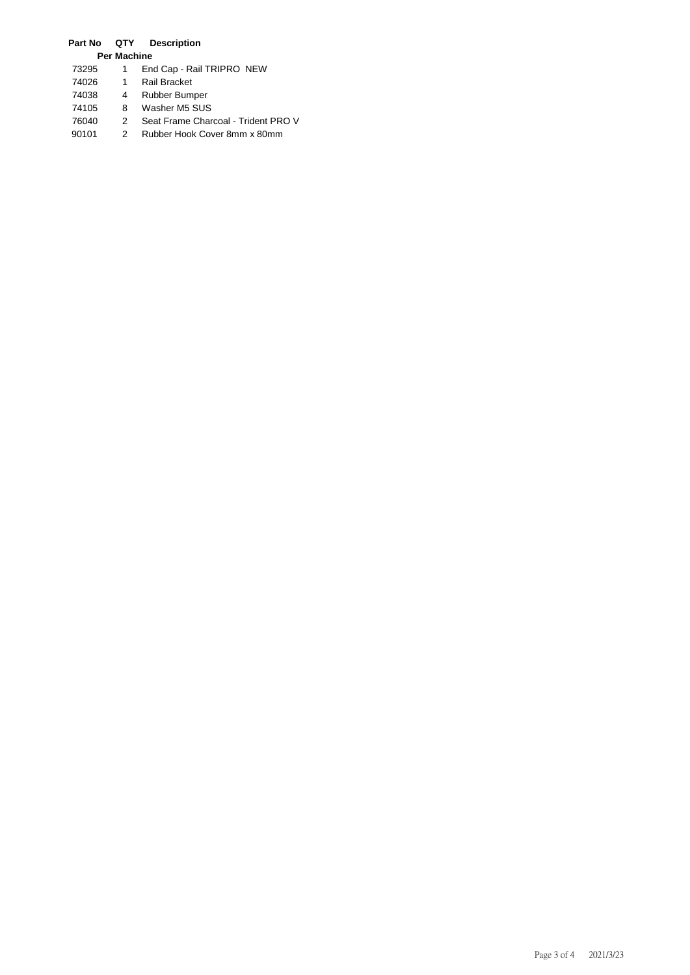## **Part No QTY Description**

|       | <b>Per Machine</b> |                                     |
|-------|--------------------|-------------------------------------|
| 73295 |                    | End Cap - Rail TRIPRO NEW           |
| 74026 | 1                  | Rail Bracket                        |
| 74038 | 4                  | Rubber Bumper                       |
| 74105 | 8                  | Washer M5 SUS                       |
| 76040 | 2                  | Seat Frame Charcoal - Trident PRO V |
| 90101 |                    | Rubber Hook Cover 8mm x 80mm        |
|       |                    |                                     |